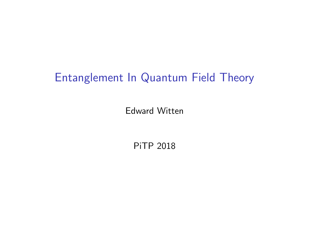## Entanglement In Quantum Field Theory

Edward Witten

PiTP 2018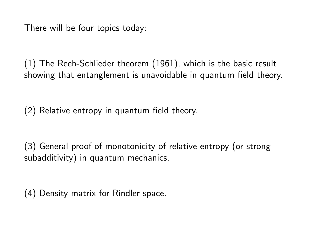There will be four topics today:

(1) The Reeh-Schlieder theorem (1961), which is the basic result showing that entanglement is unavoidable in quantum field theory.

(2) Relative entropy in quantum field theory.

(3) General proof of monotonicity of relative entropy (or strong subadditivity) in quantum mechanics.

(4) Density matrix for Rindler space.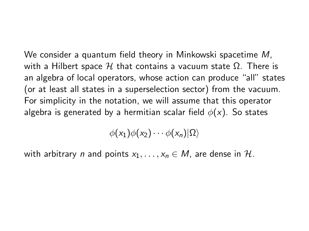We consider a quantum field theory in Minkowski spacetime M, with a Hilbert space  $H$  that contains a vacuum state  $Ω$ . There is an algebra of local operators, whose action can produce "all" states (or at least all states in a superselection sector) from the vacuum. For simplicity in the notation, we will assume that this operator algebra is generated by a hermitian scalar field  $\phi(x)$ . So states

 $\phi(x_1)\phi(x_2)\cdots\phi(x_n)|\Omega\rangle$ 

with arbitrary n and points  $x_1, \ldots, x_n \in M$ , are dense in H.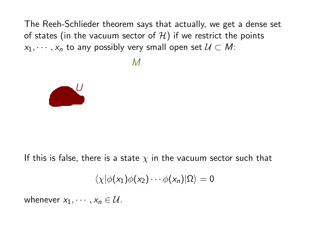The Reeh-Schlieder theorem says that actually, we get a dense set of states (in the vacuum sector of  $\mathcal{H}$ ) if we restrict the points  $x_1, \dots, x_n$  to any possibly very small open set  $\mathcal{U} \subset M$ :

 $\overline{M}$ 



If this is false, there is a state  $\chi$  in the vacuum sector such that

$$
\langle \chi | \phi(x_1) \phi(x_2) \cdots \phi(x_n) | \Omega \rangle = 0
$$

whenever  $x_1, \dots, x_n \in \mathcal{U}$ .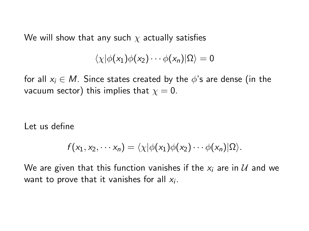We will show that any such  $\chi$  actually satisfies

$$
\langle \chi | \phi(x_1) \phi(x_2) \cdots \phi(x_n) | \Omega \rangle = 0
$$

for all  $x_i \in M$ . Since states created by the  $\phi$ 's are dense (in the vacuum sector) this implies that  $x = 0$ .

Let us define

$$
f(x_1,x_2,\cdots x_n)=\langle \chi|\phi(x_1)\phi(x_2)\cdots \phi(x_n)|\Omega\rangle.
$$

We are given that this function vanishes if the  $x_i$  are in  $\mathcal U$  and we want to prove that it vanishes for all  $x_i$ .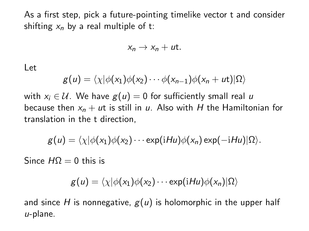As a first step, pick a future-pointing timelike vector t and consider shifting  $x_n$  by a real multiple of t:

$$
x_n\to x_n+ut.
$$

Let

$$
g(u) = \langle \chi | \phi(x_1) \phi(x_2) \cdots \phi(x_{n-1}) \phi(x_n + ut) | \Omega \rangle
$$

with  $x_i \in U$ . We have  $g(u) = 0$  for sufficiently small real u because then  $x_n + ut$  is still in u. Also with H the Hamiltonian for translation in the t direction,

$$
g(u) = \langle \chi | \phi(x_1) \phi(x_2) \cdots \exp(iHu) \phi(x_n) \exp(-iHu) | \Omega \rangle.
$$

Since  $HO = 0$  this is

$$
g(u) = \langle \chi | \phi(x_1) \phi(x_2) \cdots \exp(iHu) \phi(x_n) | \Omega \rangle
$$

and since H is nonnegative,  $g(u)$  is holomorphic in the upper half  $u$ -plane.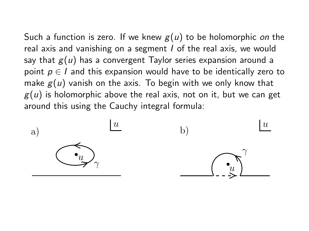Such a function is zero. If we knew  $g(u)$  to be holomorphic on the real axis and vanishing on a segment I of the real axis, we would say that  $g(u)$  has a convergent Taylor series expansion around a point  $p \in I$  and this expansion would have to be identically zero to make  $g(u)$  vanish on the axis. To begin with we only know that  $g(u)$  is holomorphic above the real axis, not on it, but we can get around this using the Cauchy integral formula:

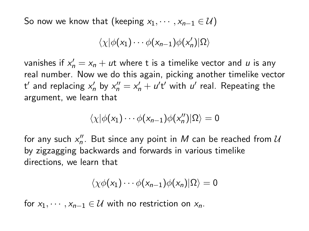So now we know that (keeping  $x_1, \dots, x_{n-1} \in U$ )

$$
\langle \chi | \phi(x_1) \cdots \phi(x_{n-1}) \phi(x'_n) | \Omega \rangle
$$

vanishes if  $x'_n = x_n + ut$  where t is a timelike vector and  $u$  is any real number. Now we do this again, picking another timelike vector t' and replacing  $x'_n$  by  $x''_n = x'_n + u't'$  with  $u'$  real. Repeating the argument, we learn that

$$
\langle \chi | \phi(x_1) \cdots \phi(x_{n-1}) \phi(x_n'') | \Omega \rangle = 0
$$

for any such  $x_n^{\prime\prime}$ . But since any point in  $M$  can be reached from  $\cal U$ by zigzagging backwards and forwards in various timelike directions, we learn that

$$
\langle \chi \phi(x_1) \cdots \phi(x_{n-1}) \phi(x_n) | \Omega \rangle = 0
$$

for  $x_1, \dots, x_{n-1} \in \mathcal{U}$  with no restriction on  $x_n$ .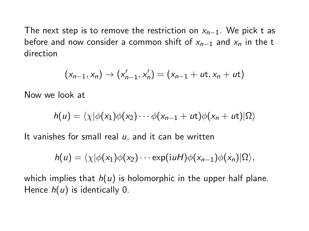The next step is to remove the restriction on  $x_{n-1}$ . We pick t as before and now consider a common shift of  $x_{n-1}$  and  $x_n$  in the t direction

$$
(x_{n-1},x_n) \to (x'_{n-1},x'_n) = (x_{n-1} + ut, x_n + ut)
$$

Now we look at

$$
h(u) = \langle \chi | \phi(x_1) \phi(x_2) \cdots \phi(x_{n-1} + ut) \phi(x_n + ut) | \Omega \rangle
$$

It vanishes for small real  $u$ , and it can be written

$$
h(u) = \langle \chi | \phi(x_1) \phi(x_2) \cdots \exp(iuH) \phi(x_{n-1}) \phi(x_n) | \Omega \rangle,
$$

which implies that  $h(u)$  is holomorphic in the upper half plane. Hence  $h(u)$  is identically 0.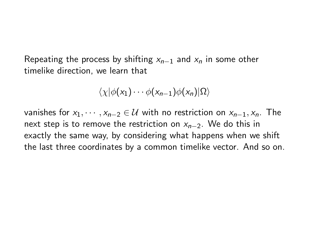Repeating the process by shifting  $x_{n-1}$  and  $x_n$  in some other timelike direction, we learn that

$$
\langle \chi | \phi(x_1) \cdots \phi(x_{n-1}) \phi(x_n) | \Omega \rangle
$$

vanishes for  $x_1, \dots, x_{n-2} \in \mathcal{U}$  with no restriction on  $x_{n-1}, x_n$ . The next step is to remove the restriction on  $x_{n-2}$ . We do this in exactly the same way, by considering what happens when we shift the last three coordinates by a common timelike vector. And so on.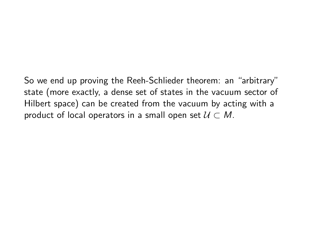So we end up proving the Reeh-Schlieder theorem: an "arbitrary" state (more exactly, a dense set of states in the vacuum sector of Hilbert space) can be created from the vacuum by acting with a product of local operators in a small open set  $U \subset M$ .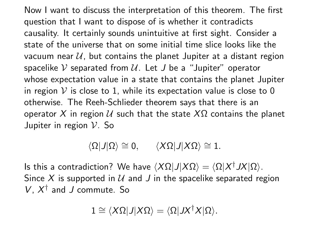Now I want to discuss the interpretation of this theorem. The first question that I want to dispose of is whether it contradicts causality. It certainly sounds unintuitive at first sight. Consider a state of the universe that on some initial time slice looks like the vacuum near  $U$ , but contains the planet Jupiter at a distant region spacelike V separated from  $U$ . Let J be a "Jupiter" operator whose expectation value in a state that contains the planet Jupiter in region  $V$  is close to 1, while its expectation value is close to 0 otherwise. The Reeh-Schlieder theorem says that there is an operator X in region  $U$  such that the state  $X\Omega$  contains the planet Jupiter in region V. So

$$
\langle \Omega | J | \Omega \rangle \cong 0, \quad \ \ \langle X \Omega | J | X \Omega \rangle \cong 1.
$$

Is this a contradiction? We have  $\langle X\Omega|J|X\Omega\rangle = \langle \Omega|X^\dagger JX|\Omega\rangle$ . Since X is supported in  $U$  and J in the spacelike separated region  $V$ ,  $X^{\dagger}$  and J commute. So

$$
1 \cong \langle X\Omega | J | X\Omega \rangle = \langle \Omega | J X^\dagger X | \Omega \rangle.
$$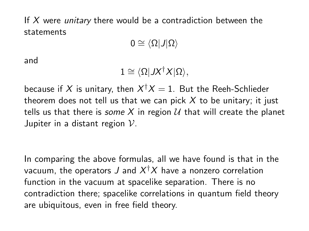If  $X$  were *unitary* there would be a contradiction between the statements

 $0 \cong \langle \Omega | J | \Omega \rangle$ 

and

$$
1\cong \langle \Omega | JX^\dagger X | \Omega \rangle,
$$

because if  $X$  is unitary, then  $X^{\dagger}X=1$ . But the Reeh-Schlieder theorem does not tell us that we can pick  $X$  to be unitary; it just tells us that there is some X in region U that will create the planet Jupiter in a distant region  $\mathcal V$ .

In comparing the above formulas, all we have found is that in the vacuum, the operators  $J$  and  $X^{\dagger}X$  have a nonzero correlation function in the vacuum at spacelike separation. There is no contradiction there; spacelike correlations in quantum field theory are ubiquitous, even in free field theory.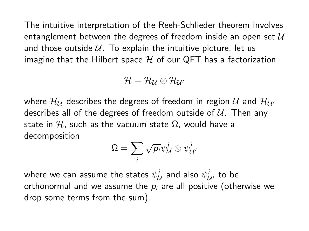The intuitive interpretation of the Reeh-Schlieder theorem involves entanglement between the degrees of freedom inside an open set  $U$ and those outside  $U$ . To explain the intuitive picture, let us imagine that the Hilbert space  $H$  of our QFT has a factorization

$$
\mathcal{H}=\mathcal{H}_{\mathcal{U}}\otimes\mathcal{H}_{\mathcal{U}'}
$$

where  $\mathcal{H}_{\mathcal{U}}$  describes the degrees of freedom in region  $\mathcal{U}$  and  $\mathcal{H}_{\mathcal{U}'}$ describes all of the degrees of freedom outside of  $U$ . Then any state in H, such as the vacuum state  $\Omega$ , would have a decomposition

$$
\Omega = \sum_i \sqrt{p_i} \psi_{\mathcal{U}}^i \otimes \psi_{\mathcal{U}}^i
$$

where we can assume the states  $\psi_{\mathcal{U}}^{i}$  and also  $\psi_{\mathcal{U}'}^{i}$  to be orthonormal and we assume the  $p_i$  are all positive (otherwise we drop some terms from the sum).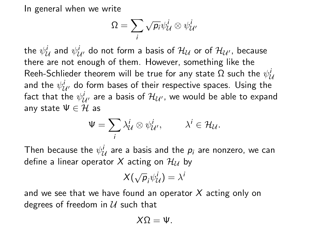In general when we write

$$
\Omega = \sum_i \sqrt{p_i} \psi_{\mathcal{U}}^i \otimes \psi_{\mathcal{U'}}^i
$$

the  $\psi^i_{\mathcal{U}}$  and  $\psi^i_{\mathcal{U}'}$  do not form a basis of  $\mathcal{H}_\mathcal{U}$  or of  $\mathcal{H}_{\mathcal{U}'}$ , because there are not enough of them. However, something like the Reeh-Schlieder theorem will be true for any state  $\Omega$  such the  $\psi^i_{\cal U}$ and the  $\psi^i_{{\cal U}'}$  do form bases of their respective spaces. Using the fact that the  $\psi^i_{{\cal U}'}$  are a basis of  ${\cal H}_{\cal U'}$ , we would be able to expand any state  $\Psi \in \mathcal{H}$  as

$$
\Psi = \sum_i \lambda^i_{\mathcal{U}} \otimes \psi^i_{\mathcal{U}'}, \qquad \lambda^i \in \mathcal{H}_{\mathcal{U}}.
$$

Then because the  $\psi^i_{\mathcal{U}}$  are a basis and the  $p_i$  are nonzero, we can define a linear operator X acting on  $\mathcal{H}_{11}$  by

$$
X(\sqrt{\rho}_i\psi^i_{\mathcal{U}})=\lambda^i
$$

and we see that we have found an operator  $X$  acting only on degrees of freedom in  $U$  such that

$$
X\Omega=\Psi.
$$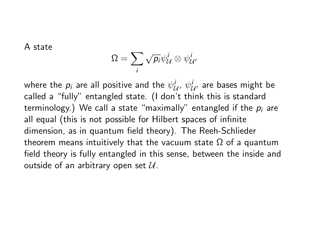A state

$$
\Omega = \sum_i \sqrt{p_i} \psi_{\mathcal{U}}^i \otimes \psi_{\mathcal{U}}^i
$$

where the  $p_i$  are all positive and the  $\psi^i_{\mathcal{U}},\,\psi^i_{\mathcal{U}'}$  are bases might be called a "fully" entangled state. (I don't think this is standard terminology.) We call a state "maximally" entangled if the  $p_i$  are all equal (this is not possible for Hilbert spaces of infinite dimension, as in quantum field theory). The Reeh-Schlieder theorem means intuitively that the vacuum state  $Ω$  of a quantum field theory is fully entangled in this sense, between the inside and outside of an arbitrary open set  $\mathcal{U}$ .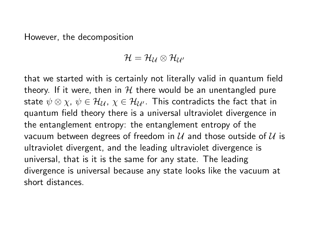However, the decomposition

$$
\mathcal{H}=\mathcal{H}_{\mathcal{U}}\otimes\mathcal{H}_{\mathcal{U}'}
$$

that we started with is certainly not literally valid in quantum field theory. If it were, then in  $H$  there would be an unentangled pure state  $\psi \otimes \chi$ ,  $\psi \in \mathcal{H}_{\mathcal{U}}$ ,  $\chi \in \mathcal{H}_{\mathcal{U}'}$ . This contradicts the fact that in quantum field theory there is a universal ultraviolet divergence in the entanglement entropy: the entanglement entropy of the vacuum between degrees of freedom in  $U$  and those outside of  $U$  is ultraviolet divergent, and the leading ultraviolet divergence is universal, that is it is the same for any state. The leading divergence is universal because any state looks like the vacuum at short distances.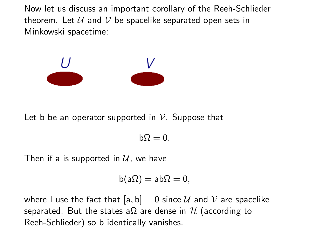Now let us discuss an important corollary of the Reeh-Schlieder theorem. Let  $U$  and  $V$  be spacelike separated open sets in Minkowski spacetime:



Let b be an operator supported in  $\mathcal V$ . Suppose that

 $b\Omega = 0$ .

Then if a is supported in  $U$ , we have

$$
b(a\Omega)=ab\Omega=0,
$$

where I use the fact that  $[a, b] = 0$  since U and V are spacelike separated. But the states a $\Omega$  are dense in H (according to Reeh-Schlieder) so b identically vanishes.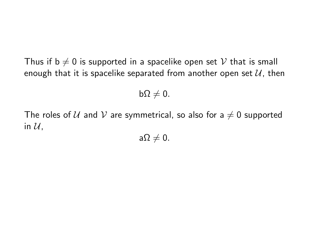Thus if  $b \neq 0$  is supported in a spacelike open set V that is small enough that it is spacelike separated from another open set  $\mathcal{U}$ , then

 $b\Omega \neq 0.$ 

The roles of U and V are symmetrical, so also for a  $\neq 0$  supported in  $\mathcal{U}$ ,

 $a\Omega \neq 0.$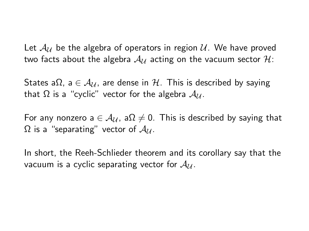Let  $\mathcal{A}_{\mathcal{U}}$  be the algebra of operators in region  $\mathcal{U}$ . We have proved two facts about the algebra  $A_{\mathcal{U}}$  acting on the vacuum sector  $\mathcal{H}$ :

States a $\Omega$ , a  $\in \mathcal{A}_{\mathcal{U}}$ , are dense in  $\mathcal{H}$ . This is described by saying that  $\Omega$  is a "cyclic" vector for the algebra  $\mathcal{A}_{\mathcal{U}}$ .

For any nonzero a  $\in$   $\mathcal{A}_{\mathcal{U}}$ , a $\Omega \neq 0$ . This is described by saying that  $\Omega$  is a "separating" vector of  $\mathcal{A}_{\mathcal{U}}$ .

In short, the Reeh-Schlieder theorem and its corollary say that the vacuum is a cyclic separating vector for  $A_{\mathcal{U}}$ .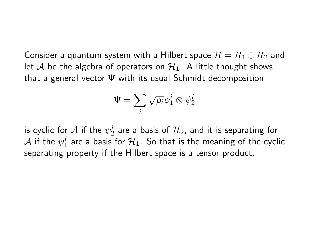Consider a quantum system with a Hilbert space  $\mathcal{H} = \mathcal{H}_1 \otimes \mathcal{H}_2$  and let A be the algebra of operators on  $\mathcal{H}_1$ . A little thought shows that a general vector Ψ with its usual Schmidt decomposition

$$
\Psi = \sum_i \sqrt{\rho_i} \psi_1^i \otimes \psi_2^i
$$

is cyclic for  ${\mathcal A}$  if the  $\psi_2^i$  are a basis of  ${\mathcal H}_2$ , and it is separating for  ${\cal A}$  if the  $\psi^i_1$  are a basis for  ${\cal H}_1.$  So that is the meaning of the cyclic separating property if the Hilbert space is a tensor product.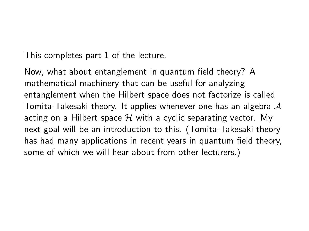This completes part 1 of the lecture.

Now, what about entanglement in quantum field theory? A mathematical machinery that can be useful for analyzing entanglement when the Hilbert space does not factorize is called Tomita-Takesaki theory. It applies whenever one has an algebra  $\mathcal A$ acting on a Hilbert space  $H$  with a cyclic separating vector. My next goal will be an introduction to this. (Tomita-Takesaki theory has had many applications in recent years in quantum field theory, some of which we will hear about from other lecturers.)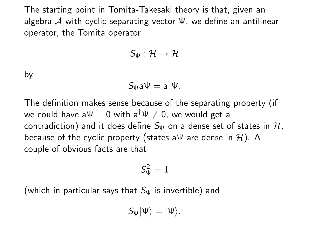The starting point in Tomita-Takesaki theory is that, given an algebra A with cyclic separating vector  $\Psi$ , we define an antilinear operator, the Tomita operator

$$
S_\Psi:\mathcal{H}\to\mathcal{H}
$$

by

$$
S_{\Psi}a\Psi=a^{\dagger}\Psi.
$$

The definition makes sense because of the separating property (if we could have  $a\Psi = 0$  with  $a^{\dagger}\Psi \neq 0$ , we would get a contradiction) and it does define  $S_{W}$  on a dense set of states in  $H$ . because of the cyclic property (states a $\Psi$  are dense in H). A couple of obvious facts are that

$$
\mathcal{S}_{\Psi}^2=1
$$

(which in particular says that  $S_{\Psi}$  is invertible) and

$$
S_{\Psi}|\Psi\rangle=|\Psi\rangle.
$$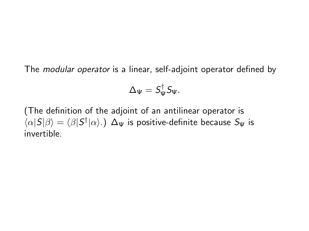The modular operator is a linear, self-adjoint operator defined by

$$
\Delta_{\Psi} = S_{\Psi}^{\dagger} S_{\Psi}.
$$

(The definition of the adjoint of an antilinear operator is  $\langle \alpha|S|\beta\rangle = \langle \beta|S^\dagger|\alpha\rangle$ .)  $\Delta_\Psi$  is positive-definite because  $S_\Psi$  is invertible.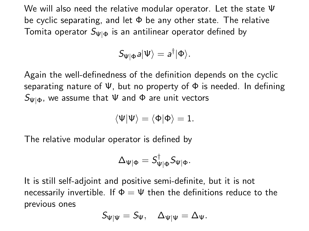We will also need the relative modular operator. Let the state Ψ be cyclic separating, and let  $\Phi$  be any other state. The relative Tomita operator  $S_{\Psi|\Phi}$  is an antilinear operator defined by

$$
S_{\Psi|\Phi}a|\Psi\rangle=a^{\dagger}|\Phi\rangle.
$$

Again the well-definedness of the definition depends on the cyclic separating nature of  $\Psi$ , but no property of  $\Phi$  is needed. In defining  $S_{\Psi|\Phi}$ , we assume that  $\Psi$  and  $\Phi$  are unit vectors

$$
\langle \Psi | \Psi \rangle = \langle \Phi | \Phi \rangle = 1.
$$

The relative modular operator is defined by

$$
\Delta_{\Psi|\Phi} = S_{\Psi|\Phi}^{\dagger} S_{\Psi|\Phi}.
$$

It is still self-adjoint and positive semi-definite, but it is not necessarily invertible. If  $\Phi = \Psi$  then the definitions reduce to the previous ones

$$
S_{\Psi|\Psi}=S_{\Psi},\quad \Delta_{\Psi|\Psi}=\Delta_{\Psi}.
$$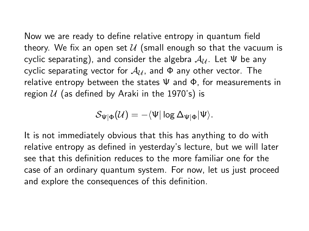Now we are ready to define relative entropy in quantum field theory. We fix an open set  $U$  (small enough so that the vacuum is cyclic separating), and consider the algebra  $A_{\mathcal{U}}$ . Let  $\Psi$  be any cyclic separating vector for  $A_{\mathcal{U}}$ , and  $\Phi$  any other vector. The relative entropy between the states  $\Psi$  and  $\Phi$ , for measurements in region  $U$  (as defined by Araki in the 1970's) is

$$
\mathcal{S}_{\Psi|\Phi}(\mathcal{U})=-\langle\Psi|\log\Delta_{\Psi|\Phi}|\Psi\rangle.
$$

It is not immediately obvious that this has anything to do with relative entropy as defined in yesterday's lecture, but we will later see that this definition reduces to the more familiar one for the case of an ordinary quantum system. For now, let us just proceed and explore the consequences of this definition.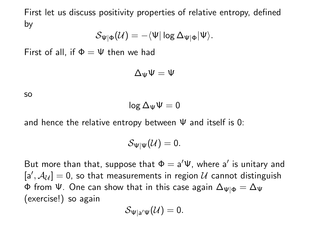First let us discuss positivity properties of relative entropy, defined by

$$
\mathcal{S}_{\Psi|\Phi}(\mathcal{U})=-\langle\Psi|\log\Delta_{\Psi|\Phi}|\Psi\rangle.
$$

First of all, if  $\Phi = \Psi$  then we had

$$
\Delta_\Psi \Psi = \Psi
$$

so

$$
\text{log}\,\Delta_\Psi\Psi=0
$$

and hence the relative entropy between  $\Psi$  and itself is 0:

$$
\mathcal{S}_{\Psi|\Psi}(\mathcal{U})=0.
$$

But more than that, suppose that  $\Phi = a'\Psi$ , where a' is unitary and  $[a', \mathcal{A}_{\mathcal{U}}] = 0$ , so that measurements in region  $\mathcal U$  cannot distinguish Φ from Ψ. One can show that in this case again  $\Delta_{\Psi|\Phi} = \Delta_{\Psi}$ (exercise!) so again

$$
\mathcal{S}_{\Psi|{\mathsf{a}}'\Psi}(\mathcal{U})=0.
$$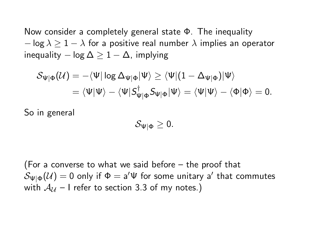Now consider a completely general state Φ. The inequality  $-$  log  $\lambda \geq 1 - \lambda$  for a positive real number  $\lambda$  implies an operator inequality  $-\log \Delta \geq 1-\Delta$ , implying

$$
\begin{aligned} \mathcal{S}_{\Psi|\Phi}(\mathcal{U})&=-\langle \Psi|\log \Delta_{\Psi|\Phi}|\Psi\rangle\geq \langle \Psi|(1-\Delta_{\Psi|\Phi})|\Psi\rangle\\ &=\langle \Psi|\Psi\rangle-\langle \Psi|S_{\Psi|\Phi}^{\dagger}S_{\Psi|\Phi}|\Psi\rangle=\langle \Psi|\Psi\rangle-\langle \Phi|\Phi\rangle=0. \end{aligned}
$$

So in general

$$
\mathcal{S}_{\Psi|\Phi}\geq 0.
$$

(For a converse to what we said before – the proof that  $\mathcal{S}_{\Psi|\Phi}(\mathcal{U})=0$  only if  $\Phi=\mathsf{a}'\Psi$  for some unitary  $\mathsf{a}'$  that commutes with  $A_{11}$  – I refer to section 3.3 of my notes.)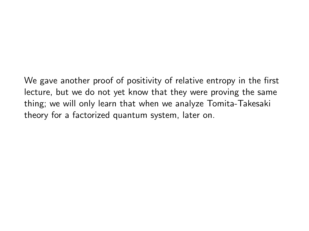We gave another proof of positivity of relative entropy in the first lecture, but we do not yet know that they were proving the same thing; we will only learn that when we analyze Tomita-Takesaki theory for a factorized quantum system, later on.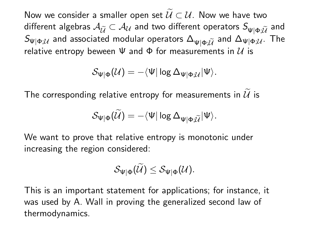Now we consider a smaller open set  $\mathcal{U} \subset \mathcal{U}$ . Now we have two different algebras  $A_{\tilde{U}} \subset A_{U}$  and two different operators  $S_{\mathsf{w} \mid \mathsf{d} \cdot \tilde{U}}$  and  $S_{\Psi|\Phi;\mathcal{U}}$  and associated modular operators  $\Delta_{\Psi|\Phi;\mathcal{U}}$  and  $\Delta_{\Psi|\Phi;\mathcal{U}}$ . The relative entropy beween  $\Psi$  and  $\Phi$  for measurements in  $\mathcal U$  is

$$
\mathcal{S}_{\Psi|\Phi}(\mathcal{U})=-\langle\Psi|\log\Delta_{\Psi|\Phi;\mathcal{U}}|\Psi\rangle.
$$

The corresponding relative entropy for measurements in  $\mathcal{U}$  is

$$
\mathcal{S}_{\Psi|\Phi}(\widetilde{\mathcal{U}})=-\langle\Psi|\log\Delta_{\Psi|\Phi;\widetilde{\mathcal{U}}}|\Psi\rangle.
$$

We want to prove that relative entropy is monotonic under increasing the region considered:

$$
\mathcal{S}_{\Psi|\Phi}(\widetilde{\mathcal{U}}) \leq \mathcal{S}_{\Psi|\Phi}(\mathcal{U}).
$$

This is an important statement for applications; for instance, it was used by A. Wall in proving the generalized second law of thermodynamics.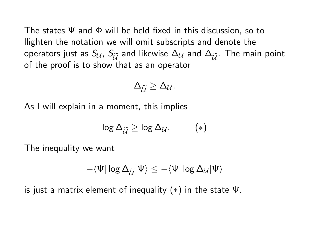The states Ψ and Φ will be held fixed in this discussion, so to llighten the notation we will omit subscripts and denote the operators just as  $S_U$ ,  $S_{\tilde{U}}$  and likewise  $\Delta_U$  and  $\Delta_{\tilde{U}}$ . The main point of the proof is to show that as an operator

$$
\Delta_{\widetilde{U}}\geq \Delta_{\mathcal{U}}.
$$

As I will explain in a moment, this implies

$$
\log \Delta_{\widetilde{U}} \geq \log \Delta_{\mathcal{U}}.\qquad (*)
$$

The inequality we want

$$
-\langle \Psi | \log \Delta_{\widetilde{\mathcal{U}}} | \Psi \rangle \leq -\langle \Psi | \log \Delta_{\mathcal{U}} | \Psi \rangle
$$

is just a matrix element of inequality  $(*)$  in the state  $\Psi$ .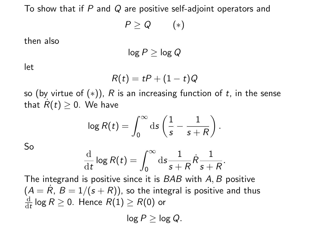To show that if P and Q are positive self-adjoint operators and

$$
P\geq Q\qquad(*)
$$

then also

$$
\log P \geq \log Q
$$

let

$$
R(t) = tP + (1-t)Q
$$

so (by virtue of  $(*)$ ), R is an increasing function of t, in the sense that  $R(t) \geq 0$ . We have

$$
\log R(t) = \int_0^\infty \mathrm{d} s \left( \frac{1}{s} - \frac{1}{s+R} \right).
$$

So

$$
\frac{\mathrm{d}}{\mathrm{d}t}\log R(t)=\int_0^\infty \mathrm{d}s \frac{1}{s+R}\dot{R}\frac{1}{s+R}.
$$

The integrand is positive since it is BAB with A, B positive  $(A = \dot R,\, B = 1/(s + R))$ , so the integral is positive and thus d  $\frac{\mathrm{d}}{\mathrm{d}t}$  log  $R\geq 0$ . Hence  $R(1)\geq R(0)$  or

 $log P > log Q$ .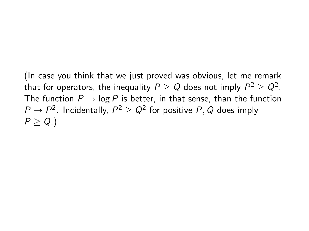(In case you think that we just proved was obvious, let me remark that for operators, the inequality  $P\geq Q$  does not imply  $P^2\geq Q^2.$ The function  $P \rightarrow \log P$  is better, in that sense, than the function  $P\rightarrow P^2$ . Incidentally,  $P^2\geq Q^2$  for positive  $P,Q$  does imply  $P > Q.$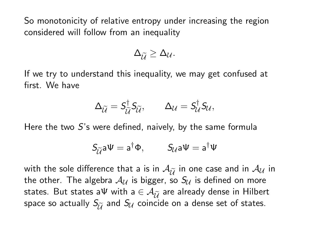So monotonicity of relative entropy under increasing the region considered will follow from an inequality

$$
\Delta_{\widetilde{U}}\geq \Delta_{\mathcal{U}}.
$$

If we try to understand this inequality, we may get confused at first. We have

$$
\Delta_{\widetilde{U}}=S_{\widetilde{U}}^{\dagger}S_{\widetilde{U}},\qquad \Delta_{\mathcal{U}}=S_{\mathcal{U}}^{\dagger}S_{\mathcal{U}},
$$

Here the two  $S$ 's were defined, naively, by the same formula

$$
S_{\widetilde{\mathcal{U}}}a\Psi=a^{\dagger}\Phi, \qquad S_{\mathcal{U}}a\Psi=a^{\dagger}\Psi
$$

with the sole difference that a is in  $\mathcal{A}_{\tilde{\mu}}$  in one case and in  $\mathcal{A}_{\mathcal{U}}$  in the other. The algebra  $A_{11}$  is bigger, so  $S_{11}$  is defined on more states. But states aΨ with a  $\in \mathcal{A}_{\tilde{\mathcal{U}}}$  are already dense in Hilbert space so actually  $S_{\tilde{U}}$  and  $S_{\mathcal{U}}$  coincide on a dense set of states.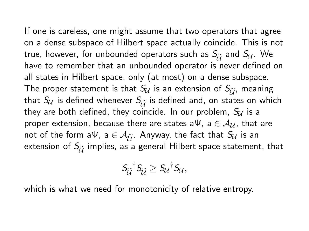If one is careless, one might assume that two operators that agree on a dense subspace of Hilbert space actually coincide. This is not true, however, for unbounded operators such as  $S_{\tilde{U}}$  and  $S_{\mathcal{U}}$ . We have to remember that an unbounded operator is never defined on all states in Hilbert space, only (at most) on a dense subspace. The proper statement is that  $S_{\mathcal{U}}$  is an extension of  $S_{\tilde{\mathcal{U}}}$ , meaning that  $S_U$  is defined whenever  $S_{\tilde{U}}$  is defined and, on states on which they are both defined, they coincide. In our problem,  $S_{\mathcal{U}}$  is a proper extension, because there are states a $\Psi$ , a  $\in \mathcal{A}_{\mathcal{U}}$ , that are not of the form aΨ, a  $\in \mathcal{A}_{\tilde{\mathcal{U}}}$ . Anyway, the fact that  $S_{\mathcal{U}}$  is an extension of  $S_{\tilde{U}}$  implies, as a general Hilbert space statement, that

$$
S_{\widetilde{U}}^{\dagger} S_{\widetilde{U}} \geq S_{U}^{\dagger} S_{U},
$$

which is what we need for monotonicity of relative entropy.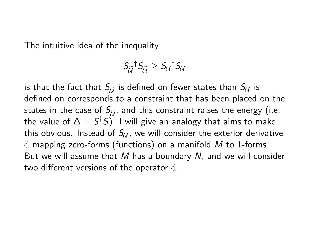The intuitive idea of the inequality

$$
S_{\widetilde{U}}^{\dagger} S_{\widetilde{U}} \geq S_{U}^{\dagger} S_{U}
$$

is that the fact that  $S_{\tilde{U}}$  is defined on fewer states than  $S_{\mathcal{U}}$  is defined on corresponds to a constraint that has been placed on the states in the case of  $S_{\tilde{i}}$ , and this constraint raises the energy (i.e. the value of  $\Delta = \mathcal{S}^{\dagger}\mathcal{S})$ . I will give an analogy that aims to make this obvious. Instead of  $S_{U}$ , we will consider the exterior derivative d mapping zero-forms (functions) on a manifold M to 1-forms. But we will assume that M has a boundary N, and we will consider two different versions of the operator d.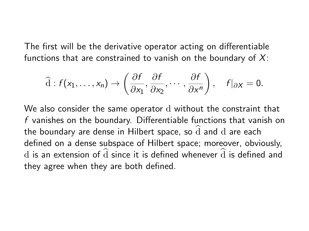The first will be the derivative operator acting on differentiable functions that are constrained to vanish on the boundary of  $X$ :

$$
\widehat{\mathrm{d}}: f(x_1,\ldots,x_n)\to \left(\frac{\partial f}{\partial x_1},\frac{\partial f}{\partial x_2},\cdots,\frac{\partial f}{\partial x^n}\right),\quad f|_{\partial X}=0.
$$

We also consider the same operator d without the constraint that f vanishes on the boundary. Differentiable functions that vanish on the boundary are dense in Hilbert space, so  $\widehat{d}$  and d are each defined on a dense subspace of Hilbert space; moreover, obviously, d is an extension of  $\hat{d}$  since it is defined whenever  $\hat{d}$  is defined and they agree when they are both defined.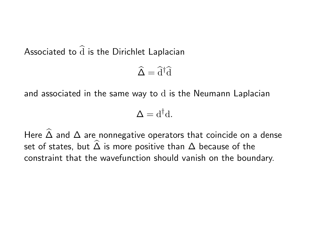Associated to  $\widehat{d}$  is the Dirichlet Laplacian

$$
\widehat{\Delta} = \widehat{\mathrm{d}}^{\dagger} \widehat{\mathrm{d}}
$$

and associated in the same way to d is the Neumann Laplacian

$$
\Delta = d^{\dagger}d.
$$

Here  $\widehat{\Delta}$  and  $\Delta$  are nonnegative operators that coincide on a dense set of states, but  $\widehat{\Delta}$  is more positive than  $\Delta$  because of the constraint that the wavefunction should vanish on the boundary.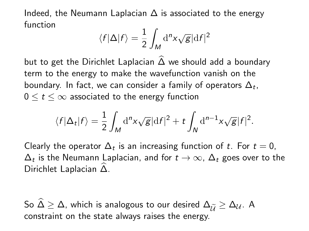Indeed, the Neumann Laplacian  $\Delta$  is associated to the energy function

$$
\langle f|\Delta|f\rangle = \frac{1}{2} \int_M d^nx \sqrt{g} |df|^2
$$

but to get the Dirichlet Laplacian  $\widehat{\Delta}$  we should add a boundary term to the energy to make the wavefunction vanish on the boundary. In fact, we can consider a family of operators  $\Delta_t$ ,  $0 \leq t \leq \infty$  associated to the energy function

$$
\langle f|\Delta_t|f\rangle = \frac{1}{2}\int_M \mathrm{d}^n x \sqrt{g}|\mathrm{d}f|^2 + t \int_N \mathrm{d}^{n-1} x \sqrt{g}|f|^2.
$$

Clearly the operator  $\Delta_t$  is an increasing function of t. For  $t=0$ ,  $\Delta_t$  is the Neumann Laplacian, and for  $t\to\infty$ ,  $\Delta_t$  goes over to the Dirichlet Laplacian ∆. <sup>b</sup>

So  $\widehat{\Delta} \geq \Delta$ , which is analogous to our desired  $\Delta_{\widetilde{U}} \geq \Delta_{\mathcal{U}}$ . A constraint on the state always raises the energy.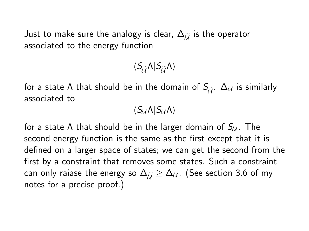Just to make sure the analogy is clear,  $\Delta_{\widetilde{\mathcal{U}}}$  is the operator associated to the energy function

 $\langle S_{\tilde{\imath}} \tilde{\Lambda} | S_{\tilde{\imath}} \tilde{\Lambda} \rangle$ 

for a state  $\Lambda$  that should be in the domain of  $S_{\tilde{\mu}}$ .  $\Delta_{\mathcal{U}}$  is similarly associated to

 $\langle S_{\mathcal{U}} \Lambda | S_{\mathcal{U}} \Lambda \rangle$ 

for a state  $\Lambda$  that should be in the larger domain of  $S_{\mathcal{U}}$ . The second energy function is the same as the first except that it is defined on a larger space of states; we can get the second from the first by a constraint that removes some states. Such a constraint can only raiase the energy so  $\Delta_{\widetilde{U}} \geq \Delta_{\mathcal{U}}$ . (See section 3.6 of my notes for a precise proof.)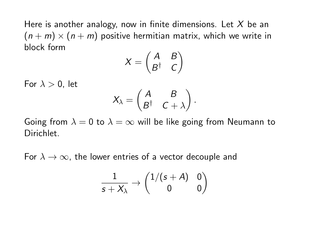Here is another analogy, now in finite dimensions. Let  $X$  be an  $(n + m) \times (n + m)$  positive hermitian matrix, which we write in block form

$$
X = \begin{pmatrix} A & B \\ B^\dagger & C \end{pmatrix}
$$

For  $\lambda > 0$ , let

$$
X_{\lambda} = \begin{pmatrix} A & B \\ B^{\dagger} & C + \lambda \end{pmatrix}.
$$

Going from  $\lambda = 0$  to  $\lambda = \infty$  will be like going from Neumann to Dirichlet.

For  $\lambda \to \infty$ , the lower entries of a vector decouple and

$$
\frac{1}{s+X_\lambda}\to\begin{pmatrix}1/(s+A)&0\\0&0\end{pmatrix}
$$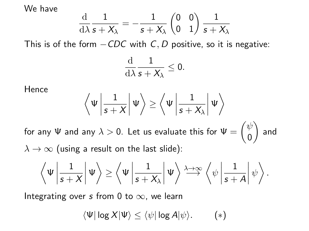We have

$$
\frac{\mathrm{d}}{\mathrm{d}\lambda}\frac{1}{s+X_\lambda}=-\frac{1}{s+X_\lambda}\begin{pmatrix}0&0\\0&1\end{pmatrix}\frac{1}{s+X_\lambda}
$$

This is of the form  $-CDC$  with C, D positive, so it is negative:

$$
\frac{\mathrm{d}}{\mathrm{d}\lambda}\frac{1}{s+X_\lambda}\leq 0.
$$

Hence

$$
\left\langle \Psi \left| \frac{1}{s+X} \right| \Psi \right\rangle \geq \left\langle \Psi \left| \frac{1}{s+X_{\lambda}} \right| \Psi \right\rangle
$$

for any  $\Psi$  and any  $\lambda>0.$  Let us evaluate this for  $\Psi=\begin{pmatrix} \psi & \lambda \end{pmatrix}$ 0  $\big)$  and  $\lambda \rightarrow \infty$  (using a result on the last slide):

$$
\left\langle \Psi \left| \frac{1}{s+X} \right| \Psi \right\rangle \geq \left\langle \Psi \left| \frac{1}{s+X_\lambda} \right| \Psi \right\rangle \stackrel{\lambda \rightarrow \infty}{\longrightarrow} \left\langle \psi \left| \frac{1}{s+A} \right| \psi \right\rangle.
$$

Integrating over s from 0 to  $\infty$ , we learn

$$
\langle \Psi | \log X | \Psi \rangle \leq \langle \psi | \log A | \psi \rangle. \qquad (*)
$$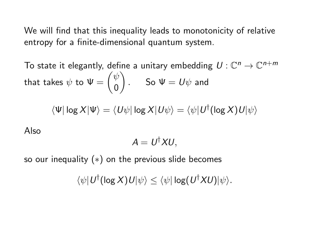We will find that this inequality leads to monotonicity of relative entropy for a finite-dimensional quantum system.

To state it elegantly, define a unitary embedding  $\, U: \mathbb{C}^n \rightarrow \mathbb{C}^{n+m}$ that takes  $\psi$  to  $\Psi = \begin{pmatrix} \psi & \psi \end{pmatrix}$ 0  $\Big)$  . So  $\Psi=U\psi$  and

$$
\langle \Psi | \log X | \Psi \rangle = \langle U \psi | \log X | U \psi \rangle = \langle \psi | U^{\dagger} (\log X) U | \psi \rangle
$$

Also

$$
A=U^{\dagger}XU,
$$

so our inequality  $(*)$  on the previous slide becomes

 $\langle \psi | U^{\dagger}(\log X) U | \psi \rangle \leq \langle \psi | \log(U^{\dagger}XU) | \psi \rangle.$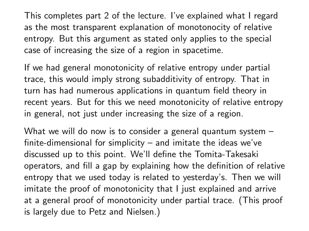This completes part 2 of the lecture. I've explained what I regard as the most transparent explanation of monotonocity of relative entropy. But this argument as stated only applies to the special case of increasing the size of a region in spacetime.

If we had general monotonicity of relative entropy under partial trace, this would imply strong subadditivity of entropy. That in turn has had numerous applications in quantum field theory in recent years. But for this we need monotonicity of relative entropy in general, not just under increasing the size of a region.

What we will do now is to consider a general quantum system – finite-dimensional for simplicity – and imitate the ideas we've discussed up to this point. We'll define the Tomita-Takesaki operators, and fill a gap by explaining how the definition of relative entropy that we used today is related to yesterday's. Then we will imitate the proof of monotonicity that I just explained and arrive at a general proof of monotonicity under partial trace. (This proof is largely due to Petz and Nielsen.)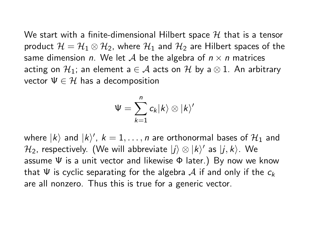We start with a finite-dimensional Hilbert space  $H$  that is a tensor product  $\mathcal{H} = \mathcal{H}_1 \otimes \mathcal{H}_2$ , where  $\mathcal{H}_1$  and  $\mathcal{H}_2$  are Hilbert spaces of the same dimension *n*. We let A be the algebra of  $n \times n$  matrices acting on  $\mathcal{H}_1$ ; an element a  $\in \mathcal{A}$  acts on  $\mathcal{H}$  by a  $\otimes$  1. An arbitrary vector  $\Psi \in \mathcal{H}$  has a decomposition

$$
\Psi=\sum_{k=1}^n c_k |k\rangle\otimes |k\rangle'
$$

where  $|k\rangle$  and  $|k\rangle'$ ,  $k=1,\ldots,n$  are orthonormal bases of  $\mathcal{H}_1$  and  $\mathcal{H}_2$ , respectively. (We will abbreviate  $|j\rangle \otimes |k\rangle'$  as  $|j,k\rangle$ . We assume  $\Psi$  is a unit vector and likewise  $\Phi$  later.) By now we know that  $\Psi$  is cyclic separating for the algebra A if and only if the  $c_k$ are all nonzero. Thus this is true for a generic vector.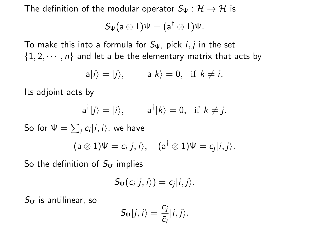The definition of the modular operator  $S_{\Psi} : \mathcal{H} \to \mathcal{H}$  is

$$
S_\Psi(a\otimes 1)\Psi=(a^\dagger\otimes 1)\Psi.
$$

To make this into a formula for  $S_{\Psi}$ , pick  $i, j$  in the set  $\{1, 2, \dots, n\}$  and let a be the elementary matrix that acts by

$$
a|i\rangle = |j\rangle, \qquad a|k\rangle = 0, \text{ if } k \neq i.
$$

Its adjoint acts by

$$
a^{\dagger}|j\rangle = |i\rangle, \qquad a^{\dagger}|k\rangle = 0, \text{ if } k \neq j.
$$

So for  $\Psi = \sum_i c_i |i,i\rangle$ , we have

$$
(\mathsf{a} \otimes 1)\Psi = c_i|j,i\rangle, \quad (\mathsf{a}^\dagger \otimes 1)\Psi = c_j|i,j\rangle.
$$

So the definition of  $S_{\Psi}$  implies

$$
S_{\Psi}(c_i|j,i\rangle)=c_j|i,j\rangle.
$$

 $S_{\Psi}$  is antilinear, so

$$
S_{\Psi}|j,i\rangle=\frac{c_j}{\bar{c}_i}|i,j\rangle.
$$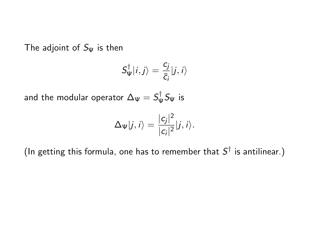The adjoint of  $S_{\Psi}$  is then

$$
S_{\Psi}^{\dagger}|i,j\rangle=\frac{c_j}{\bar{c}_i}|j,i\rangle
$$

and the modular operator  $\Delta_{\Psi} = \mathcal{S}_{\Psi}^{\dagger}$  $\psi^{\dagger}$ S $_{\Psi}$  is

$$
\Delta_{\Psi}|j,i\rangle=\frac{|c_j|^2}{|c_i|^2}|j,i\rangle.
$$

(In getting this formula, one has to remember that  $S^{\dagger}$  is antilinear.)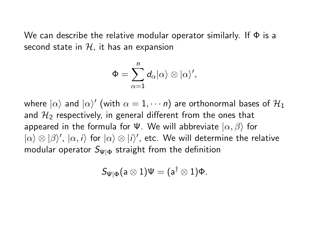We can describe the relative modular operator similarly. If  $\Phi$  is a second state in  $H$ , it has an expansion

$$
\Phi=\sum_{\alpha=1}^n d_\alpha |\alpha\rangle\otimes |\alpha\rangle',
$$

where  $|\alpha\rangle$  and  $|\alpha\rangle'$  (with  $\alpha=1,\cdots n)$  are orthonormal bases of  $\mathcal{H}_{1}$ and  $\mathcal{H}_{2}$  respectively, in general different from the ones that appeared in the formula for  $\Psi$ . We will abbreviate  $|\alpha, \beta\rangle$  for  $|\alpha\rangle \otimes |\beta\rangle'$ ,  $|\alpha,i\rangle$  for  $|\alpha\rangle \otimes |i\rangle'$ , etc. We will determine the relative modular operator  $S_{\Psi|\Phi}$  straight from the definition

$$
S_{\Psi|\Phi}(a\otimes 1)\Psi=(a^\dagger\otimes 1)\Phi.
$$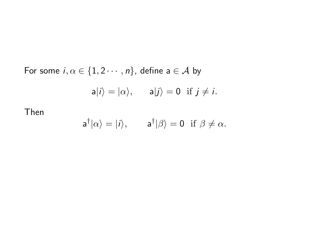For some  $i, \alpha \in \{1, 2 \cdots, n\}$ , define  $a \in \mathcal{A}$  by  $|a|i\rangle = |\alpha\rangle$ ,  $|a|j\rangle = 0$  if  $j \neq i$ .

Then

$$
a^{\dagger}|\alpha\rangle = |i\rangle, \qquad a^{\dagger}|\beta\rangle = 0 \text{ if } \beta \neq \alpha.
$$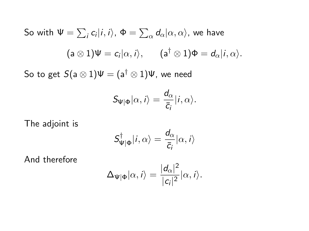So with  $\Psi=\sum_i c_i|i,i\rangle$ ,  $\Phi=\sum_\alpha d_\alpha|\alpha,\alpha\rangle$ , we have  $(\mathsf{a} \otimes 1) \Psi = c_i |\alpha, i \rangle, \quad (\mathsf{a}^\dagger \otimes 1) \Phi = d_\alpha |i, \alpha \rangle.$ 

So to get  $S(a \otimes 1)\Psi = (a^{\dagger} \otimes 1)\Psi$ , we need

$$
S_{\Psi|\Phi}|\alpha,i\rangle=\frac{d_\alpha}{\bar{c}_i}|i,\alpha\rangle.
$$

The adjoint is

$$
S^{\dagger}_{\Psi|\Phi}|i,\alpha\rangle=\frac{d_{\alpha}}{\overline{c}_{i}}|\alpha,i\rangle
$$

And therefore

$$
\Delta_{\Psi|\Phi}|\alpha,i\rangle=\frac{|d_{\alpha}|^2}{|c_i|^2}|\alpha,i\rangle.
$$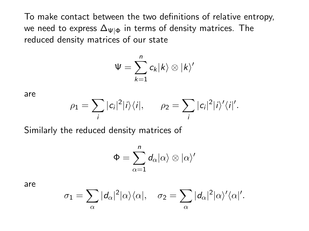To make contact between the two definitions of relative entropy, we need to express  $\Delta_{\Psi|\Phi}$  in terms of density matrices. The reduced density matrices of our state

$$
\Psi=\sum_{k=1}^n c_k |k\rangle\otimes |k\rangle'
$$

are

$$
\rho_1 = \sum_i |c_i|^2 |i\rangle\langle i|, \qquad \rho_2 = \sum_i |c_i|^2 |i\rangle'\langle i|'.
$$

Similarly the reduced density matrices of

$$
\Phi = \sum_{\alpha=1}^n d_\alpha |\alpha\rangle \otimes |\alpha\rangle'
$$

are

$$
\sigma_1 = \sum_{\alpha} |d_{\alpha}|^2 |\alpha\rangle\langle\alpha|, \quad \sigma_2 = \sum_{\alpha} |d_{\alpha}|^2 |\alpha\rangle'\langle\alpha|'.
$$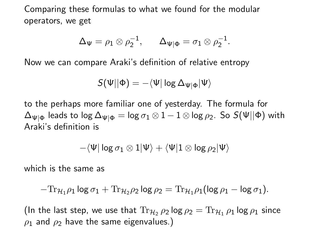Comparing these formulas to what we found for the modular operators, we get

$$
\Delta_{\Psi} = \rho_1 \otimes \rho_2^{-1}, \qquad \Delta_{\Psi|\Phi} = \sigma_1 \otimes \rho_2^{-1}.
$$

Now we can compare Araki's definition of relative entropy

$$
\mathcal{S}(\Psi||\Phi)=-\langle\Psi|\log\Delta_{\Psi|\Phi}|\Psi\rangle
$$

to the perhaps more familiar one of yesterday. The formula for  $\Delta_{\Psi|\Phi}$  leads to log  $\Delta_{\Psi|\Phi} = \log \sigma_1 \otimes 1 - 1 \otimes \log \rho_2$ . So  $S(\Psi||\Phi)$  with Araki's definition is

$$
-\langle\Psi|\log\sigma_1\otimes 1|\Psi\rangle+\langle\Psi|1\otimes\log\rho_2|\Psi\rangle
$$

which is the same as

$$
-\mathrm{Tr}_{\mathcal{H}_1}\rho_1\log\sigma_1+\mathrm{Tr}_{\mathcal{H}_2}\rho_2\log\rho_2=\mathrm{Tr}_{\mathcal{H}_1}\rho_1(\log\rho_1-\log\sigma_1).
$$

(In the last step, we use that  $\text{Tr}_{\mathcal{H}_2} \, \rho_2 \, \text{log} \, \rho_2 = \text{Tr}_{\mathcal{H}_1} \, \rho_1 \, \text{log} \, \rho_1$  since  $\rho_1$  and  $\rho_2$  have the same eigenvalues.)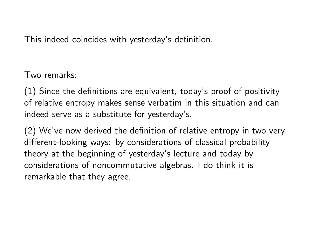This indeed coincides with yesterday's definition.

Two remarks:

(1) Since the definitions are equivalent, today's proof of positivity of relative entropy makes sense verbatim in this situation and can indeed serve as a substitute for yesterday's.

(2) We've now derived the definition of relative entropy in two very different-looking ways: by considerations of classical probability theory at the beginning of yesterday's lecture and today by considerations of noncommutative algebras. I do think it is remarkable that they agree.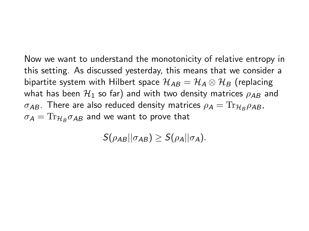Now we want to understand the monotonicity of relative entropy in this setting. As discussed yesterday, this means that we consider a bipartite system with Hilbert space  $\mathcal{H}_{AB} = \mathcal{H}_A \otimes \mathcal{H}_B$  (replacing what has been  $\mathcal{H}_1$  so far) and with two density matrices  $\rho_{AB}$  and  $\sigma_{\pmb{A}\pmb{B}}.$  There are also reduced density matrices  $\rho_{\pmb{A}} = \text{Tr}_{\mathcal{H}_{\pmb{B}}}\rho_{\pmb{A}\pmb{B}}$ ,  $\sigma_A = \text{Tr}_{\mathcal{H}_B} \sigma_{AB}$  and we want to prove that

 $S(\rho_{AB}||\sigma_{AB}) > S(\rho_{A}||\sigma_{A}).$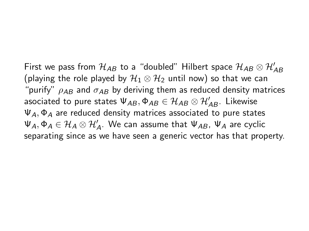First we pass from  $\mathcal{H}_{AB}$  to a "doubled" Hilbert space  $\mathcal{H}_{AB}\otimes\mathcal{H}_{AB}'$ (playing the role played by  $\mathcal{H}_1 \otimes \mathcal{H}_2$  until now) so that we can "purify"  $\rho_{AB}$  and  $\sigma_{AB}$  by deriving them as reduced density matrices asociated to pure states  $\Psi_{AB},\Phi_{AB}\in\mathcal{H}_{AB}\otimes\mathcal{H}_{AB}'.$  Likewise  $\Psi_A$ ,  $\Phi_A$  are reduced density matrices associated to pure states  $\Psi_\mathcal{A}, \Phi_\mathcal{A} \in \mathcal{H}_\mathcal{A} \otimes \mathcal{H}_\mathcal{A}'$ . We can assume that  $\Psi_{AB}$ ,  $\Psi_\mathcal{A}$  are cyclic separating since as we have seen a generic vector has that property.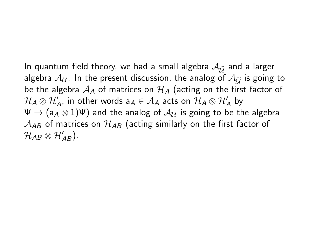In quantum field theory, we had a small algebra  $\mathcal{A}_{\widetilde{\mathcal{U}}}$  and a larger algebra  $A_{\mathcal{U}}$ . In the present discussion, the analog of  $A_{\widetilde{\mathcal{U}}}$  is going to be the algebra  $A_A$  of matrices on  $H_A$  (acting on the first factor of  $\mathcal{H}_\mathcal{A}\otimes\mathcal{H}'_\mathcal{A}$ , in other words  $\mathsf{a}_\mathcal{A}\in\mathcal{A}_\mathcal{A}$  acts on  $\mathcal{H}_\mathcal{A}\otimes\mathcal{H}'_\mathcal{A}$  by  $\Psi \to (a_A \otimes 1)\Psi$ ) and the analog of  $\mathcal{A}_{\mathcal{U}}$  is going to be the algebra  $A_{AB}$  of matrices on  $\mathcal{H}_{AB}$  (acting similarly on the first factor of  $\mathcal{H}_{AB}\otimes\mathcal{H}_{AB}^{\prime}).$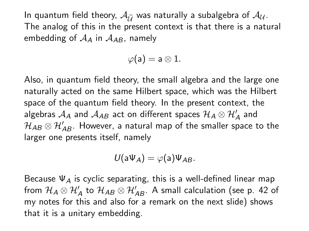In quantum field theory,  $A_{\tilde{\mathcal{U}}}$  was naturally a subalgebra of  $A_{\mathcal{U}}$ . The analog of this in the present context is that there is a natural embedding of  $A_A$  in  $A_{AB}$ , namely

 $\varphi(a) = a \otimes 1.$ 

Also, in quantum field theory, the small algebra and the large one naturally acted on the same Hilbert space, which was the Hilbert space of the quantum field theory. In the present context, the algebras  $\mathcal{A}_A$  and  $\mathcal{A}_{AB}$  act on different spaces  $\mathcal{H}_A\otimes\mathcal{H}_A'$  and  $\mathcal{H}_{AB}\otimes\mathcal{H}_{AB}^{\prime}$ . However, a natural map of the smaller space to the larger one presents itself, namely

$$
U(a\Psi_A)=\varphi(a)\Psi_{AB}.
$$

Because  $\Psi_A$  is cyclic separating, this is a well-defined linear map from  $\mathcal{H}_\mathcal{A}\otimes \mathcal{H}_\mathcal{A}'$  to  $\mathcal{H}_\mathcal{AB}\otimes \mathcal{H}_\mathcal{AB}'$ . A small calculation (see p. 42 of my notes for this and also for a remark on the next slide) shows that it is a unitary embedding.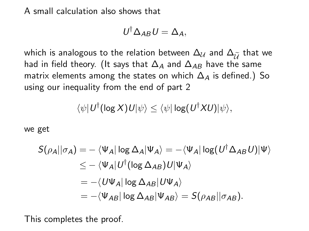A small calculation also shows that

$$
U^{\dagger} \Delta_{AB} U = \Delta_A,
$$

which is analogous to the relation between  $\Delta_{\mathcal{U}}$  and  $\Delta_{\widetilde{\mathcal{U}}}$  that we had in field theory. (It says that  $\Delta_A$  and  $\Delta_{AB}$  have the same matrix elements among the states on which  $\Delta_A$  is defined.) So using our inequality from the end of part 2

$$
\langle \psi | U^{\dagger} (\log X) U | \psi \rangle \leq \langle \psi | \log (U^{\dagger} X U) | \psi \rangle,
$$

we get

$$
S(\rho_A || \sigma_A) = - \langle \Psi_A | \log \Delta_A | \Psi_A \rangle = - \langle \Psi_A | \log (U^{\dagger} \Delta_{AB} U) | \Psi \rangle
$$
  
\n
$$
\leq - \langle \Psi_A | U^{\dagger} (\log \Delta_{AB}) U | \Psi_A \rangle
$$
  
\n
$$
= - \langle U \Psi_A | \log \Delta_{AB} | U \Psi_A \rangle
$$
  
\n
$$
= - \langle \Psi_{AB} | \log \Delta_{AB} | \Psi_{AB} \rangle = S(\rho_{AB} || \sigma_{AB}).
$$

This completes the proof.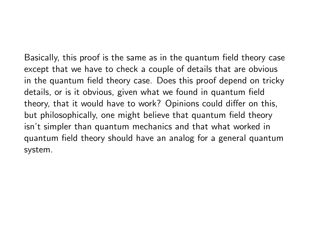Basically, this proof is the same as in the quantum field theory case except that we have to check a couple of details that are obvious in the quantum field theory case. Does this proof depend on tricky details, or is it obvious, given what we found in quantum field theory, that it would have to work? Opinions could differ on this, but philosophically, one might believe that quantum field theory isn't simpler than quantum mechanics and that what worked in quantum field theory should have an analog for a general quantum system.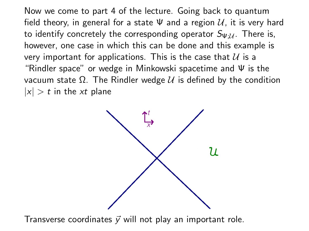Now we come to part 4 of the lecture. Going back to quantum field theory, in general for a state  $\Psi$  and a region  $\mathcal{U}$ , it is very hard to identify concretely the corresponding operator  $S_{\Psi\mathcal{U}}$ . There is, however, one case in which this can be done and this example is very important for applications. This is the case that  $U$  is a "Rindler space" or wedge in Minkowski spacetime and Ψ is the vacuum state  $Ω$ . The Rindler wedge  $U$  is defined by the condition  $|x| > t$  in the xt plane



Transverse coordinates  $\vec{v}$  will not play an important role.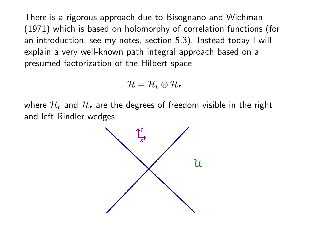There is a rigorous approach due to Bisognano and Wichman (1971) which is based on holomorphy of correlation functions (for an introduction, see my notes, section 5.3). Instead today I will explain a very well-known path integral approach based on a presumed factorization of the Hilbert space

$$
\mathcal{H}=\mathcal{H}_\ell\otimes\mathcal{H}_r
$$

where  $\mathcal{H}_{\ell}$  and  $\mathcal{H}_{r}$  are the degrees of freedom visible in the right and left Rindler wedges.

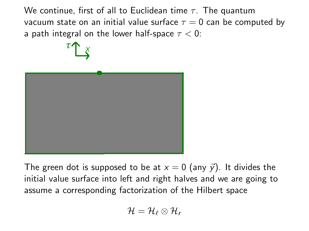We continue, first of all to Euclidean time  $\tau$ . The quantum vacuum state on an initial value surface  $\tau = 0$  can be computed by a path integral on the lower half-space  $\tau < 0$ :



The green dot is supposed to be at  $x = 0$  (any  $\vec{y}$ ). It divides the initial value surface into left and right halves and we are going to assume a corresponding factorization of the Hilbert space

$$
\mathcal{H}=\mathcal{H}_\ell\otimes\mathcal{H}_r
$$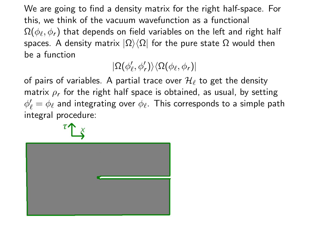We are going to find a density matrix for the right half-space. For this, we think of the vacuum wavefunction as a functional  $\Omega(\phi_\ell,\phi_r)$  that depends on field variables on the left and right half spaces. A density matrix  $|\Omega\rangle\langle\Omega|$  for the pure state  $\Omega$  would then be a function

 $\vert \Omega(\phi'_{\ell},\phi'_{r}) \rangle \langle \Omega(\phi_{\ell},\phi_{r}) \vert$ 

of pairs of variables. A partial trace over  $\mathcal{H}_{\ell}$  to get the density matrix  $\rho_r$  for the right half space is obtained, as usual, by setting  $\phi'_\ell = \phi_\ell$  and integrating over  $\phi_\ell$ . This corresponds to a simple path integral procedure:

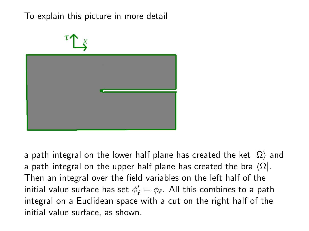## To explain this picture in more detail



a path integral on the lower half plane has created the ket  $|\Omega\rangle$  and a path integral on the upper half plane has created the bra  $\langle \Omega |$ . Then an integral over the field variables on the left half of the initial value surface has set  $\phi'_\ell = \phi_\ell.$  All this combines to a path integral on a Euclidean space with a cut on the right half of the initial value surface, as shown.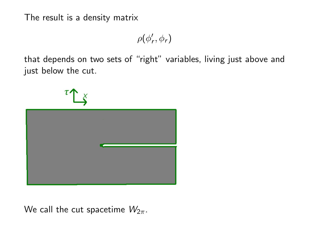The result is a density matrix

 $\rho(\phi_r',\phi_r)$ 

that depends on two sets of "right" variables, living just above and just below the cut.

We call the cut spacetime  $W_{2\pi}$ .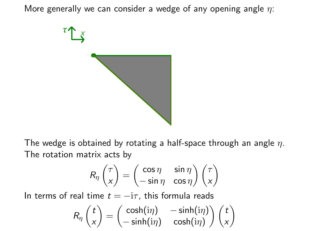More generally we can consider a wedge of any opening angle  $\eta$ :



The wedge is obtained by rotating a half-space through an angle  $\eta$ . The rotation matrix acts by

$$
R_{\eta}\begin{pmatrix} \tau \\ x \end{pmatrix} = \begin{pmatrix} \cos \eta & \sin \eta \\ -\sin \eta & \cos \eta \end{pmatrix} \begin{pmatrix} \tau \\ x \end{pmatrix}
$$

In terms of real time  $t = -i\tau$ , this formula reads

$$
R_{\eta}\begin{pmatrix}t\\ x\end{pmatrix}=\begin{pmatrix}\cosh(i\eta)&-\sinh(i\eta)\\ -\sinh(i\eta)&\cosh(i\eta)\end{pmatrix}\begin{pmatrix}t\\ x\end{pmatrix}
$$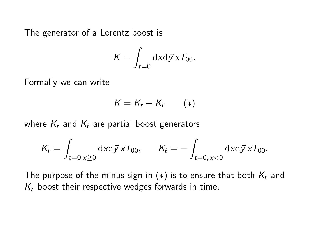The generator of a Lorentz boost is

$$
K = \int_{t=0} \mathrm{d}x \mathrm{d}\vec{y} \, x T_{00}.
$$

Formally we can write

$$
K=K_r-K_\ell\qquad(*)
$$

where  $K_r$  and  $K_\ell$  are partial boost generators

$$
K_r = \int_{t=0, x\geq 0} \mathrm{d}x \mathrm{d}\vec{y} \, x \mathcal{T}_{00}, \qquad K_\ell = -\int_{t=0, x<0} \mathrm{d}x \mathrm{d}\vec{y} \, x \mathcal{T}_{00}.
$$

The purpose of the minus sign in  $(*)$  is to ensure that both  $K_\ell$  and  $K_r$  boost their respective wedges forwards in time.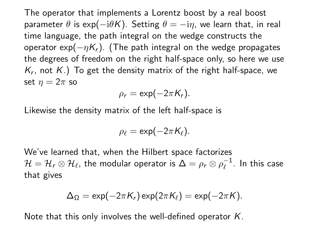The operator that implements a Lorentz boost by a real boost parameter  $\theta$  is exp( $-i\theta K$ ). Setting  $\theta = -i\eta$ , we learn that, in real time language, the path integral on the wedge constructs the operator exp( $-\eta K_r$ ). (The path integral on the wedge propagates the degrees of freedom on the right half-space only, so here we use  $\mathcal{K}_r$ , not  $\mathcal{K}.$ ) To get the density matrix of the right half-space, we set  $\eta = 2\pi$  so

$$
\rho_r = \exp(-2\pi K_r).
$$

Likewise the density matrix of the left half-space is

$$
\rho_{\ell}=\exp(-2\pi K_{\ell}).
$$

We've learned that, when the Hilbert space factorizes  $\mathcal{H} = \mathcal{H}_r \otimes \mathcal{H}_\ell$ , the modular operator is  $\Delta = \rho_r \otimes \rho_\ell^{-1}$  $\overline{\ell}^{-1}$ . In this case that gives

$$
\Delta_{\Omega} = \exp(-2\pi K_r) \exp(2\pi K_{\ell}) = \exp(-2\pi K).
$$

Note that this only involves the well-defined operator  $K$ .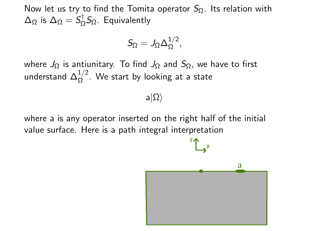Now let us try to find the Tomita operator  $S_{\Omega}$ . Its relation with  $\Delta_{\Omega}$  is  $\Delta_{\Omega} = \mathcal{S}^{\dagger}_{\Omega}$  $\zeta_{\Omega}^{\prime}$ S $_{\Omega}$ . Equivalently

$$
S_{\Omega}=J_{\Omega}\Delta_{\Omega}^{1/2},
$$

where  $J_{\Omega}$  is antiunitary. To find  $J_{\Omega}$  and  $S_{\Omega}$ , we have to first understand  $\Delta_{\Omega}^{1/2}$ . We start by looking at a state

 $a|\Omega\rangle$ 

where a is any operator inserted on the right half of the initial value surface. Here is a path integral interpretation

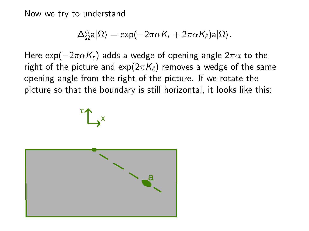Now we try to understand

$$
\Delta_\Omega^\alpha \mathsf{a}|\Omega\rangle = \exp\bigl(-2\pi\alpha\mathcal{K}_\text{r} + 2\pi\alpha\mathcal{K}_\ell\bigr) \mathsf{a} |\Omega\rangle.
$$

Here exp( $-2\pi\alpha K_r$ ) adds a wedge of opening angle  $2\pi\alpha$  to the right of the picture and  $exp(2\pi K_\ell)$  removes a wedge of the same opening angle from the right of the picture. If we rotate the picture so that the boundary is still horizontal, it looks like this:



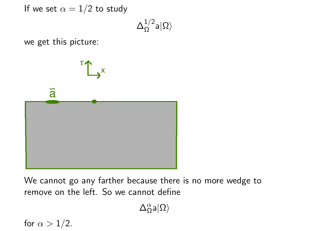If we set  $\alpha = 1/2$  to study

$$
\Delta_\Omega^{1/2} \mathsf{a} |\Omega \rangle
$$

we get this picture:



We cannot go any farther because there is no more wedge to remove on the left. So we cannot define

 $\Delta_\Omega^\alpha$ a $|\Omega\rangle$ 

for  $\alpha > 1/2$ .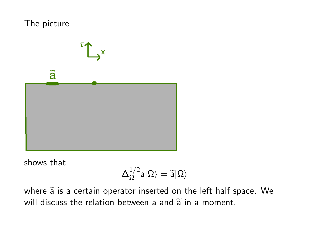



shows that

$$
\Delta_\Omega^{1/2} \mathsf{a} |\Omega\rangle = \widetilde{\mathsf{a}} |\Omega\rangle
$$

where  $\widetilde{a}$  is a certain operator inserted on the left half space. We will discuss the relation between a and  $\tilde{a}$  in a moment.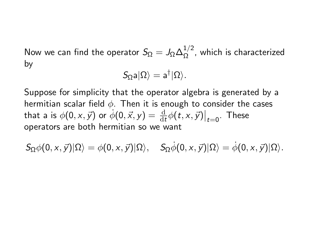Now we can find the operator  $S_\Omega = J_\Omega \Delta_\Omega^{1/2}$  $\frac{1}{\Omega}$ , which is characterized by

$$
S_{\Omega}a|\Omega\rangle=a^{\dagger}|\Omega\rangle.
$$

Suppose for simplicity that the operator algebra is generated by a hermitian scalar field  $\phi$ . Then it is enough to consider the cases that a is  $\phi(0, x, \vec{y})$  or  $\phi(0, \vec{x}, y) = \frac{d}{dt}\phi(t, x, \vec{y})\big|_{t=0}$ . These operators are both hermitian so we want

$$
\mathcal{S}_\Omega\phi(0,x,\vec{y})|\Omega\rangle=\phi(0,x,\vec{y})|\Omega\rangle,\quad \mathcal{S}_\Omega\phi(0,x,\vec{y})|\Omega\rangle=\dot{\phi}(0,x,\vec{y})|\Omega\rangle.
$$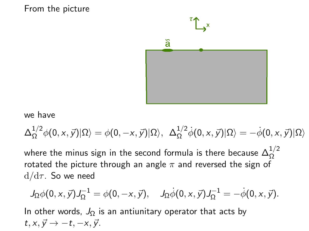## From the picture



## we have

$$
\Delta_{\Omega}^{1/2}\phi(0, x, \vec{y})|\Omega\rangle = \phi(0, -x, \vec{y})|\Omega\rangle, \quad \Delta_{\Omega}^{1/2}\dot{\phi}(0, x, \vec{y})|\Omega\rangle = -\dot{\phi}(0, x, \vec{y})|\Omega\rangle
$$
  
where the minus sign in the second formula is there because  $\Delta_{\Omega}^{1/2}$   
rotated the picture through an angle  $\pi$  and reversed the sign of  
 $d/d\tau$ . So we need

$$
J_{\Omega}\phi(0,x,\vec{y})J_{\Omega}^{-1}=\phi(0,-x,\vec{y}), \quad J_{\Omega}\phi(0,x,\vec{y})J_{\Omega}^{-1}=-\phi(0,x,\vec{y}).
$$

In other words,  $J_{\Omega}$  is an antiunitary operator that acts by  $t, x, \vec{y} \rightarrow -t, -x, \vec{y}$ .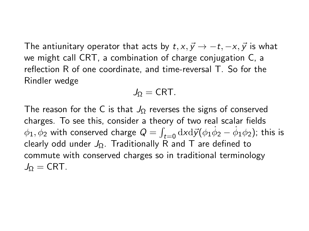The antiunitary operator that acts by  $t, x, \vec{y} \rightarrow -t, -x, \vec{y}$  is what we might call CRT, a combination of charge conjugation C, a reflection R of one coordinate, and time-reversal T. So for the Rindler wedge

$$
J_{\Omega} = \mathsf{CRT}.
$$

The reason for the C is that  $J_{\Omega}$  reverses the signs of conserved charges. To see this, consider a theory of two real scalar fields  $\phi_1,\phi_2$  with conserved charge  $Q=\int_{t=0} \mathrm{d}x\mathrm{d}\vec{y}(\phi_1\dot{\phi}_2-\phi_1\phi_2)$ ; this is clearly odd under  $J_{\Omega}$ . Traditionally R and T are defined to commute with conserved charges so in traditional terminology  $J_0 = CRT$ .